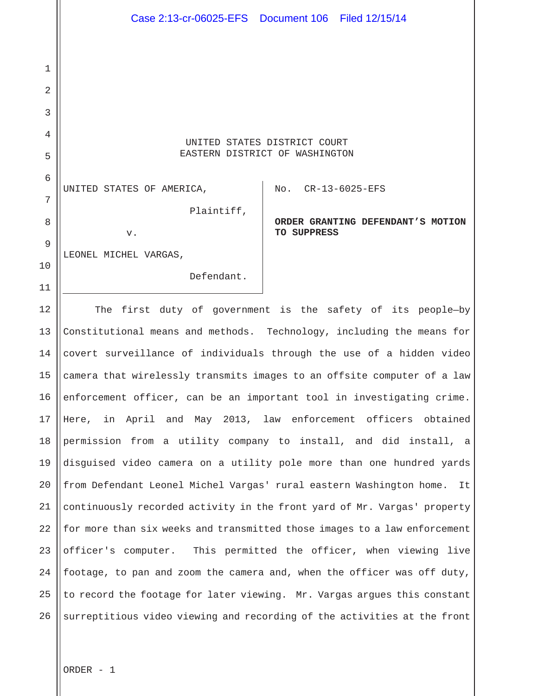UNITED STATES DISTRICT COURT EASTERN DISTRICT OF WASHINGTON

Case 2:13-cr-06025-EFS Document 106 Filed 12/15/14

UNITED STATES OF AMERICA,

v.

1

2

3

4

5

6

7

8

9

10

11

Plaintiff,

No. CR-13-6025-EFS

**ORDER GRANTING DEFENDANT'S MOTION TO SUPPRESS** 

LEONEL MICHEL VARGAS,

Defendant.

12 13 14 15 16 17 18 19 20 21 22 23 24 25 26 The first duty of government is the safety of its people—by Constitutional means and methods. Technology, including the means for covert surveillance of individuals through the use of a hidden video camera that wirelessly transmits images to an offsite computer of a law enforcement officer, can be an important tool in investigating crime. Here, in April and May 2013, law enforcement officers obtained permission from a utility company to install, and did install, a disguised video camera on a utility pole more than one hundred yards from Defendant Leonel Michel Vargas' rural eastern Washington home. It continuously recorded activity in the front yard of Mr. Vargas' property for more than six weeks and transmitted those images to a law enforcement officer's computer. This permitted the officer, when viewing live footage, to pan and zoom the camera and, when the officer was off duty, to record the footage for later viewing. Mr. Vargas argues this constant surreptitious video viewing and recording of the activities at the front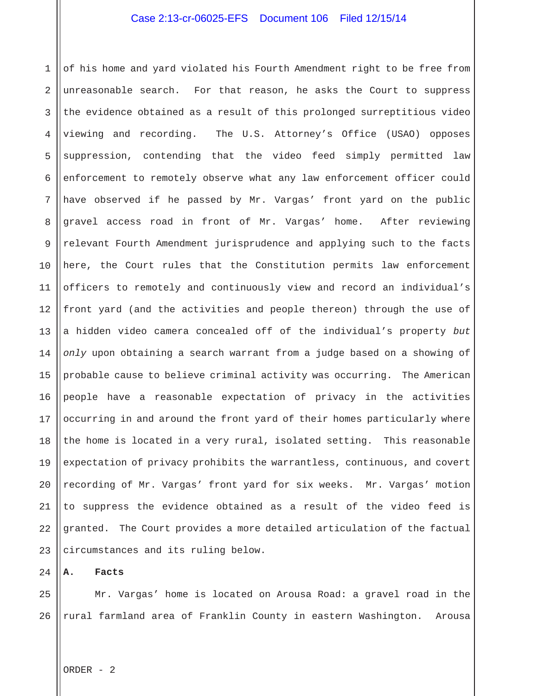1 2 3 4 5 6 7 8 9 10 11 12 13 14 15 16 17 18 19 20 21 22 23 of his home and yard violated his Fourth Amendment right to be free from unreasonable search. For that reason, he asks the Court to suppress the evidence obtained as a result of this prolonged surreptitious video viewing and recording. The U.S. Attorney's Office (USAO) opposes suppression, contending that the video feed simply permitted law enforcement to remotely observe what any law enforcement officer could have observed if he passed by Mr. Vargas' front yard on the public gravel access road in front of Mr. Vargas' home. After reviewing relevant Fourth Amendment jurisprudence and applying such to the facts here, the Court rules that the Constitution permits law enforcement officers to remotely and continuously view and record an individual's front yard (and the activities and people thereon) through the use of a hidden video camera concealed off of the individual's property *but only* upon obtaining a search warrant from a judge based on a showing of probable cause to believe criminal activity was occurring. The American people have a reasonable expectation of privacy in the activities occurring in and around the front yard of their homes particularly where the home is located in a very rural, isolated setting. This reasonable expectation of privacy prohibits the warrantless, continuous, and covert recording of Mr. Vargas' front yard for six weeks. Mr. Vargas' motion to suppress the evidence obtained as a result of the video feed is granted. The Court provides a more detailed articulation of the factual circumstances and its ruling below.

24 **A. Facts**

25 26 Mr. Vargas' home is located on Arousa Road: a gravel road in the rural farmland area of Franklin County in eastern Washington. Arousa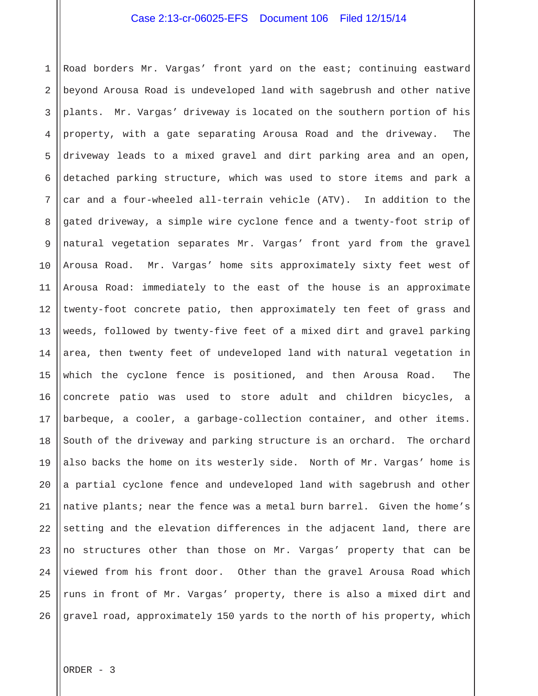1 2 3 4 5 6 7 8 9 10 11 12 13 14 15 16 17 18 19 20 21 22 23 24 25 26 Road borders Mr. Vargas' front yard on the east; continuing eastward beyond Arousa Road is undeveloped land with sagebrush and other native plants. Mr. Vargas' driveway is located on the southern portion of his property, with a gate separating Arousa Road and the driveway. The driveway leads to a mixed gravel and dirt parking area and an open, detached parking structure, which was used to store items and park a car and a four-wheeled all-terrain vehicle (ATV). In addition to the gated driveway, a simple wire cyclone fence and a twenty-foot strip of natural vegetation separates Mr. Vargas' front yard from the gravel Arousa Road. Mr. Vargas' home sits approximately sixty feet west of Arousa Road: immediately to the east of the house is an approximate twenty-foot concrete patio, then approximately ten feet of grass and weeds, followed by twenty-five feet of a mixed dirt and gravel parking area, then twenty feet of undeveloped land with natural vegetation in which the cyclone fence is positioned, and then Arousa Road. The concrete patio was used to store adult and children bicycles, a barbeque, a cooler, a garbage-collection container, and other items. South of the driveway and parking structure is an orchard. The orchard also backs the home on its westerly side. North of Mr. Vargas' home is a partial cyclone fence and undeveloped land with sagebrush and other native plants; near the fence was a metal burn barrel. Given the home's setting and the elevation differences in the adjacent land, there are no structures other than those on Mr. Vargas' property that can be viewed from his front door. Other than the gravel Arousa Road which runs in front of Mr. Vargas' property, there is also a mixed dirt and gravel road, approximately 150 yards to the north of his property, which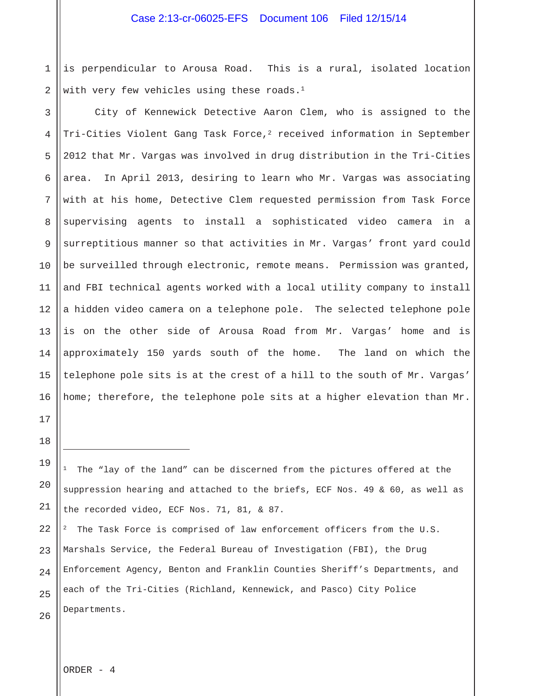1 2 is perpendicular to Arousa Road. This is a rural, isolated location with very few vehicles using these roads.<sup>1</sup>

3 4 5 6 7 8 9 10 11 12 13 14 15 16 City of Kennewick Detective Aaron Clem, who is assigned to the Tri-Cities Violent Gang Task Force, $^2$  received information in September 2012 that Mr. Vargas was involved in drug distribution in the Tri-Cities area. In April 2013, desiring to learn who Mr. Vargas was associating with at his home, Detective Clem requested permission from Task Force supervising agents to install a sophisticated video camera in a surreptitious manner so that activities in Mr. Vargas' front yard could be surveilled through electronic, remote means. Permission was granted, and FBI technical agents worked with a local utility company to install a hidden video camera on a telephone pole. The selected telephone pole is on the other side of Arousa Road from Mr. Vargas' home and is approximately 150 yards south of the home. The land on which the telephone pole sits is at the crest of a hill to the south of Mr. Vargas' home; therefore, the telephone pole sits at a higher elevation than Mr.

 $1$  The "lay of the land" can be discerned from the pictures offered at the suppression hearing and attached to the briefs, ECF Nos. 49 & 60, as well as the recorded video, ECF Nos. 71, 81, & 87.

The Task Force is comprised of law enforcement officers from the U.S. Marshals Service, the Federal Bureau of Investigation (FBI), the Drug Enforcement Agency, Benton and Franklin Counties Sheriff's Departments, and each of the Tri-Cities (Richland, Kennewick, and Pasco) City Police Departments.

ORDER - 4

17

18

i<br>S

19

20

21

22

23

24

25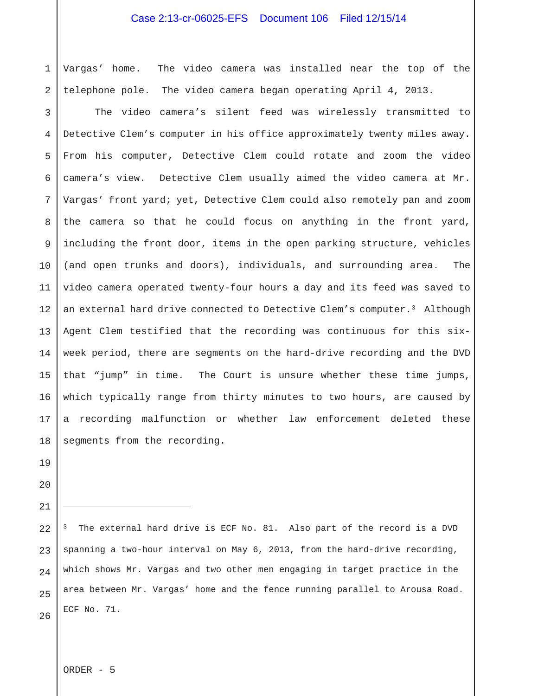1 2 Vargas' home. The video camera was installed near the top of the telephone pole. The video camera began operating April 4, 2013.

3 4 5 6 7 8 9 10 11 12 13 14 15 16 17 18 The video camera's silent feed was wirelessly transmitted to Detective Clem's computer in his office approximately twenty miles away. From his computer, Detective Clem could rotate and zoom the video camera's view. Detective Clem usually aimed the video camera at Mr. Vargas' front yard; yet, Detective Clem could also remotely pan and zoom the camera so that he could focus on anything in the front yard, including the front door, items in the open parking structure, vehicles (and open trunks and doors), individuals, and surrounding area. The video camera operated twenty-four hours a day and its feed was saved to an external hard drive connected to Detective Clem's computer.3 Although Agent Clem testified that the recording was continuous for this sixweek period, there are segments on the hard-drive recording and the DVD that "jump" in time. The Court is unsure whether these time jumps, which typically range from thirty minutes to two hours, are caused by a recording malfunction or whether law enforcement deleted these segments from the recording.

i<br>I

19

24 25 26 The external hard drive is ECF No. 81. Also part of the record is a DVD spanning a two-hour interval on May 6, 2013, from the hard-drive recording, which shows Mr. Vargas and two other men engaging in target practice in the area between Mr. Vargas' home and the fence running parallel to Arousa Road. ECF No. 71.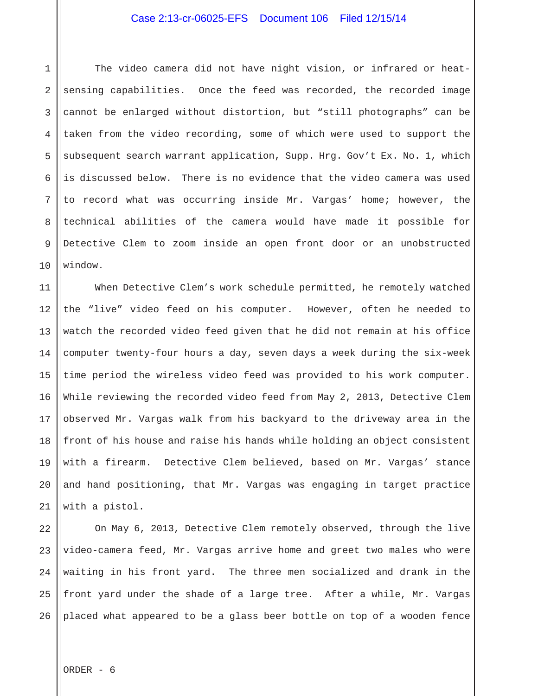1 2 3 4 5 6 7 8 9 10 The video camera did not have night vision, or infrared or heatsensing capabilities. Once the feed was recorded, the recorded image cannot be enlarged without distortion, but "still photographs" can be taken from the video recording, some of which were used to support the subsequent search warrant application, Supp. Hrg. Gov't Ex. No. 1, which is discussed below. There is no evidence that the video camera was used to record what was occurring inside Mr. Vargas' home; however, the technical abilities of the camera would have made it possible for Detective Clem to zoom inside an open front door or an unobstructed window.

11 12 13 14 15 16 17 18 19 20 21 When Detective Clem's work schedule permitted, he remotely watched the "live" video feed on his computer. However, often he needed to watch the recorded video feed given that he did not remain at his office computer twenty-four hours a day, seven days a week during the six-week time period the wireless video feed was provided to his work computer. While reviewing the recorded video feed from May 2, 2013, Detective Clem observed Mr. Vargas walk from his backyard to the driveway area in the front of his house and raise his hands while holding an object consistent with a firearm. Detective Clem believed, based on Mr. Vargas' stance and hand positioning, that Mr. Vargas was engaging in target practice with a pistol.

22 23 24 25 26 On May 6, 2013, Detective Clem remotely observed, through the live video-camera feed, Mr. Vargas arrive home and greet two males who were waiting in his front yard. The three men socialized and drank in the front yard under the shade of a large tree. After a while, Mr. Vargas placed what appeared to be a glass beer bottle on top of a wooden fence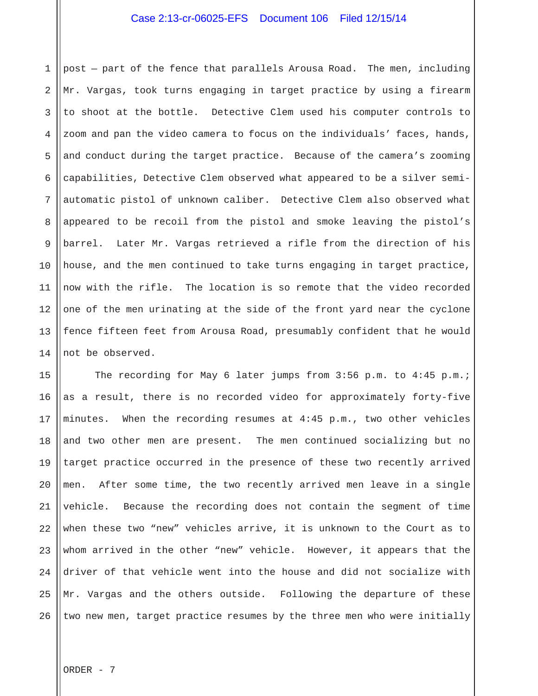1 2 3 4 5 6 7 8 9 10 11 12 13 14 post — part of the fence that parallels Arousa Road. The men, including Mr. Vargas, took turns engaging in target practice by using a firearm to shoot at the bottle. Detective Clem used his computer controls to zoom and pan the video camera to focus on the individuals' faces, hands, and conduct during the target practice. Because of the camera's zooming capabilities, Detective Clem observed what appeared to be a silver semiautomatic pistol of unknown caliber. Detective Clem also observed what appeared to be recoil from the pistol and smoke leaving the pistol's barrel. Later Mr. Vargas retrieved a rifle from the direction of his house, and the men continued to take turns engaging in target practice, now with the rifle. The location is so remote that the video recorded one of the men urinating at the side of the front yard near the cyclone fence fifteen feet from Arousa Road, presumably confident that he would not be observed.

15 16 17 18 19 20 21 22 23 24 25 26 The recording for May 6 later jumps from 3:56 p.m. to 4:45 p.m.; as a result, there is no recorded video for approximately forty-five minutes. When the recording resumes at 4:45 p.m., two other vehicles and two other men are present. The men continued socializing but no target practice occurred in the presence of these two recently arrived men. After some time, the two recently arrived men leave in a single vehicle. Because the recording does not contain the segment of time when these two "new" vehicles arrive, it is unknown to the Court as to whom arrived in the other "new" vehicle. However, it appears that the driver of that vehicle went into the house and did not socialize with Mr. Vargas and the others outside. Following the departure of these two new men, target practice resumes by the three men who were initially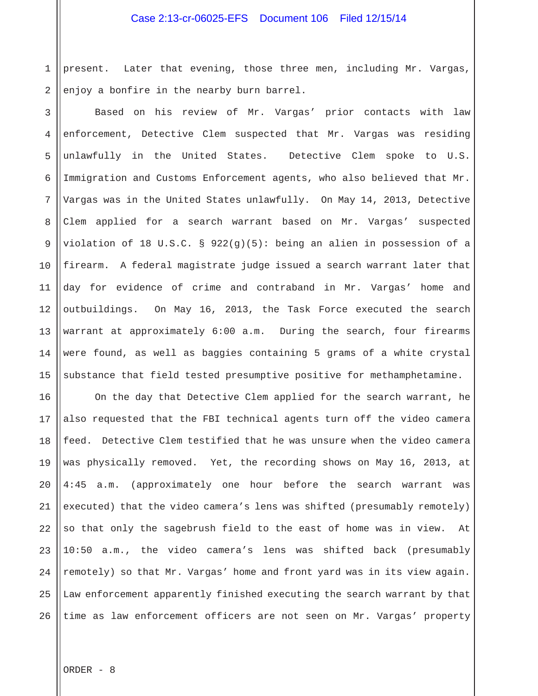1 2 present. Later that evening, those three men, including Mr. Vargas, enjoy a bonfire in the nearby burn barrel.

3 4 5 6 7 8 9 10 11 12 13 14 15 Based on his review of Mr. Vargas' prior contacts with law enforcement, Detective Clem suspected that Mr. Vargas was residing unlawfully in the United States. Detective Clem spoke to U.S. Immigration and Customs Enforcement agents, who also believed that Mr. Vargas was in the United States unlawfully. On May 14, 2013, Detective Clem applied for a search warrant based on Mr. Vargas' suspected violation of 18 U.S.C. § 922(g)(5): being an alien in possession of a firearm. A federal magistrate judge issued a search warrant later that day for evidence of crime and contraband in Mr. Vargas' home and outbuildings. On May 16, 2013, the Task Force executed the search warrant at approximately 6:00 a.m. During the search, four firearms were found, as well as baggies containing 5 grams of a white crystal substance that field tested presumptive positive for methamphetamine.

16 17 18 19 20 21 22 23 24 25 26 On the day that Detective Clem applied for the search warrant, he also requested that the FBI technical agents turn off the video camera feed. Detective Clem testified that he was unsure when the video camera was physically removed. Yet, the recording shows on May 16, 2013, at 4:45 a.m. (approximately one hour before the search warrant was executed) that the video camera's lens was shifted (presumably remotely) so that only the sagebrush field to the east of home was in view. At 10:50 a.m., the video camera's lens was shifted back (presumably remotely) so that Mr. Vargas' home and front yard was in its view again. Law enforcement apparently finished executing the search warrant by that time as law enforcement officers are not seen on Mr. Vargas' property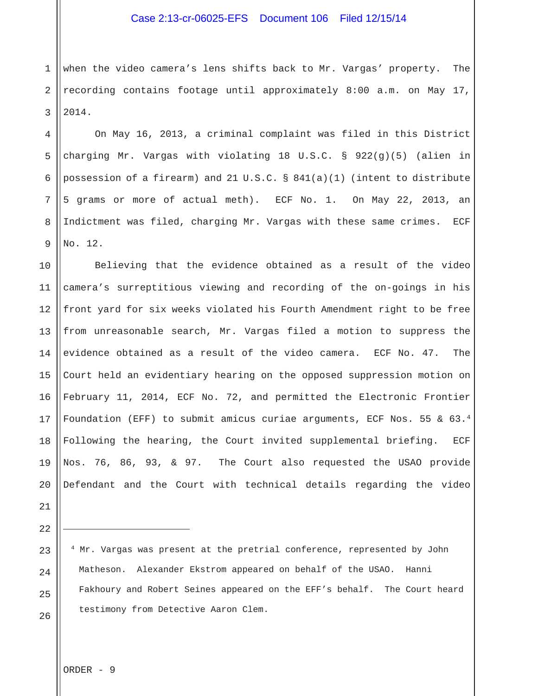1 2 3 when the video camera's lens shifts back to Mr. Vargas' property. The recording contains footage until approximately 8:00 a.m. on May 17, 2014.

 On May 16, 2013, a criminal complaint was filed in this District charging Mr. Vargas with violating 18 U.S.C. § 922(g)(5) (alien in possession of a firearm) and 21 U.S.C. § 841(a)(1) (intent to distribute 5 grams or more of actual meth). ECF No. 1. On May 22, 2013, an Indictment was filed, charging Mr. Vargas with these same crimes. ECF No. 12.

10 11 12 13 14 15 16 17 18 19 20 Believing that the evidence obtained as a result of the video camera's surreptitious viewing and recording of the on-goings in his front yard for six weeks violated his Fourth Amendment right to be free from unreasonable search, Mr. Vargas filed a motion to suppress the evidence obtained as a result of the video camera. ECF No. 47. The Court held an evidentiary hearing on the opposed suppression motion on February 11, 2014, ECF No. 72, and permitted the Electronic Frontier Foundation (EFF) to submit amicus curiae arguments, ECF Nos. 55 & 63.4 Following the hearing, the Court invited supplemental briefing. ECF Nos. 76, 86, 93, & 97. The Court also requested the USAO provide Defendant and the Court with technical details regarding the video

21 22

23

i<br>I

24

25

26

4

5

6

7

8

9

4 Mr. Vargas was present at the pretrial conference, represented by John Matheson. Alexander Ekstrom appeared on behalf of the USAO. Hanni Fakhoury and Robert Seines appeared on the EFF's behalf. The Court heard testimony from Detective Aaron Clem.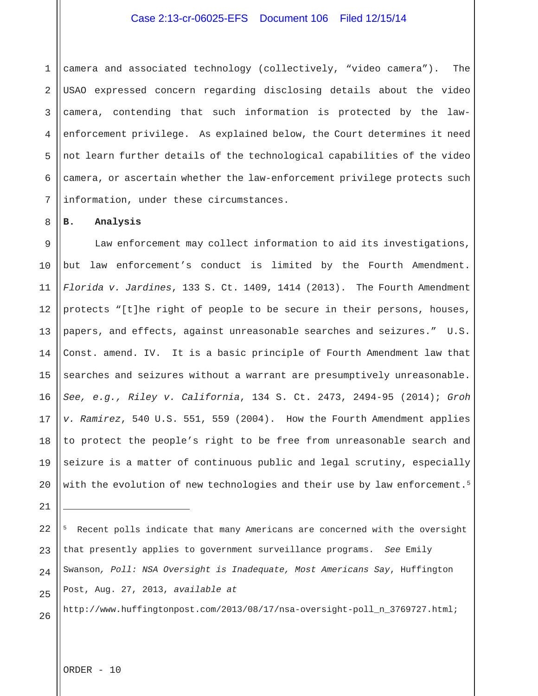1 2 3 4 5 6 7 camera and associated technology (collectively, "video camera"). The USAO expressed concern regarding disclosing details about the video camera, contending that such information is protected by the lawenforcement privilege. As explained below, the Court determines it need not learn further details of the technological capabilities of the video camera, or ascertain whether the law-enforcement privilege protects such information, under these circumstances.

#### **B. Analysis**

8

9 10 11 12 13 14 15 16 17 18 19 20 Law enforcement may collect information to aid its investigations, but law enforcement's conduct is limited by the Fourth Amendment. *Florida v. Jardines*, 133 S. Ct. 1409, 1414 (2013). The Fourth Amendment protects "[t]he right of people to be secure in their persons, houses, papers, and effects, against unreasonable searches and seizures." U.S. Const. amend. IV. It is a basic principle of Fourth Amendment law that searches and seizures without a warrant are presumptively unreasonable. *See, e.g., Riley v. California*, 134 S. Ct. 2473, 2494-95 (2014); *Groh v. Ramirez*, 540 U.S. 551, 559 (2004). How the Fourth Amendment applies to protect the people's right to be free from unreasonable search and seizure is a matter of continuous public and legal scrutiny, especially with the evolution of new technologies and their use by law enforcement.<sup>5</sup>

21

i<br>I

22 23 24 25 5 Recent polls indicate that many Americans are concerned with the oversight that presently applies to government surveillance programs. *See* Emily Swanson*, Poll: NSA Oversight is Inadequate, Most Americans Say*, Huffington Post, Aug. 27, 2013, *available at*

26 http://www.huffingtonpost.com/2013/08/17/nsa-oversight-poll\_n\_3769727.html;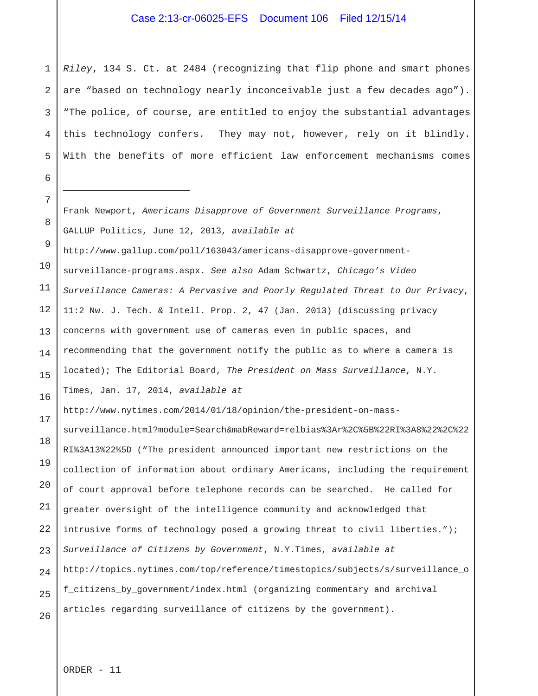1 2 3 4 5 *Riley*, 134 S. Ct. at 2484 (recognizing that flip phone and smart phones are "based on technology nearly inconceivable just a few decades ago"). "The police, of course, are entitled to enjoy the substantial advantages this technology confers. They may not, however, rely on it blindly. With the benefits of more efficient law enforcement mechanisms comes

Frank Newport, *Americans Disapprove of Government Surveillance Programs*, GALLUP Politics, June 12, 2013, *available at*

10 11 12 13 14 15 16 http://www.gallup.com/poll/163043/americans-disapprove-governmentsurveillance-programs.aspx. *See also* Adam Schwartz, *Chicago's Video Surveillance Cameras: A Pervasive and Poorly Regulated Threat to Our Privacy*, 11:2 Nw. J. Tech. & Intell. Prop. 2, 47 (Jan. 2013) (discussing privacy concerns with government use of cameras even in public spaces, and recommending that the government notify the public as to where a camera is located); The Editorial Board, *The President on Mass Surveillance*, N.Y. Times, Jan. 17, 2014, *available at*

http://www.nytimes.com/2014/01/18/opinion/the-president-on-mass-

18 19 20 21 22 23 24 25 26 surveillance.html?module=Search&mabReward=relbias%3Ar%2C%5B%22RI%3A8%22%2C%22 RI%3A13%22%5D ("The president announced important new restrictions on the collection of information about ordinary Americans, including the requirement of court approval before telephone records can be searched. He called for greater oversight of the intelligence community and acknowledged that intrusive forms of technology posed a growing threat to civil liberties."); *Surveillance of Citizens by Government*, N.Y.Times, *available at* http://topics.nytimes.com/top/reference/timestopics/subjects/s/surveillance\_o f\_citizens\_by\_government/index.html (organizing commentary and archival articles regarding surveillance of citizens by the government).

8

9

17

6

7

-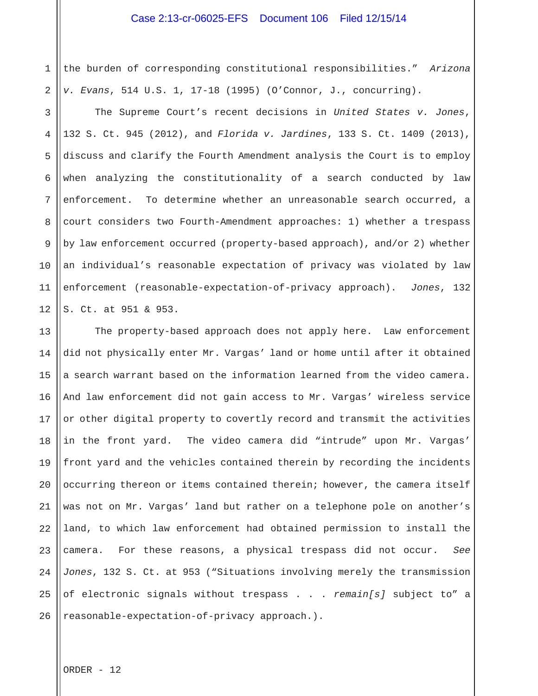1 2 the burden of corresponding constitutional responsibilities." *Arizona v. Evans*, 514 U.S. 1, 17-18 (1995) (O'Connor, J., concurring).

3 4 5 6 7 8 9 10 11 12 The Supreme Court's recent decisions in *United States v. Jones*, 132 S. Ct. 945 (2012), and *Florida v. Jardines*, 133 S. Ct. 1409 (2013), discuss and clarify the Fourth Amendment analysis the Court is to employ when analyzing the constitutionality of a search conducted by law enforcement. To determine whether an unreasonable search occurred, a court considers two Fourth-Amendment approaches: 1) whether a trespass by law enforcement occurred (property-based approach), and/or 2) whether an individual's reasonable expectation of privacy was violated by law enforcement (reasonable-expectation-of-privacy approach). *Jones*, 132 S. Ct. at 951 & 953.

13 14 15 16 17 18 19 20 21 22 23 24 25 26 The property-based approach does not apply here. Law enforcement did not physically enter Mr. Vargas' land or home until after it obtained a search warrant based on the information learned from the video camera. And law enforcement did not gain access to Mr. Vargas' wireless service or other digital property to covertly record and transmit the activities in the front yard. The video camera did "intrude" upon Mr. Vargas' front yard and the vehicles contained therein by recording the incidents occurring thereon or items contained therein; however, the camera itself was not on Mr. Vargas' land but rather on a telephone pole on another's land, to which law enforcement had obtained permission to install the camera. For these reasons, a physical trespass did not occur. *See Jones*, 132 S. Ct. at 953 ("Situations involving merely the transmission of electronic signals without trespass . . . *remain[s]* subject to" a reasonable-expectation-of-privacy approach.).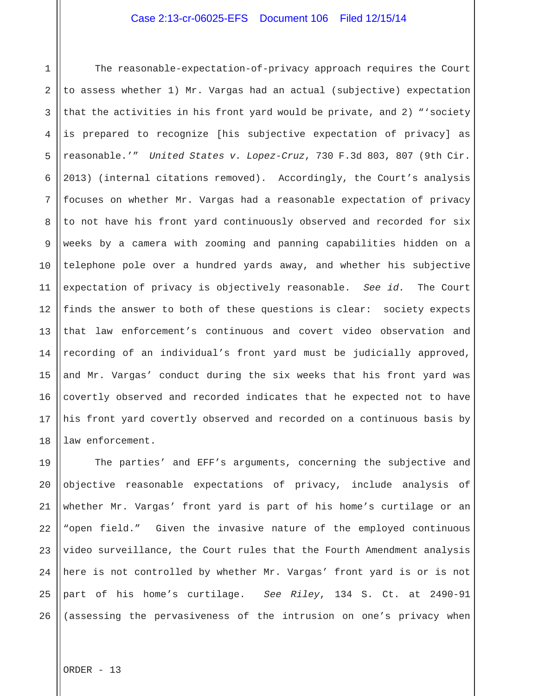1 2 3 4 5 6 7 8 9 10 11 12 13 14 15 16 17 18 The reasonable-expectation-of-privacy approach requires the Court to assess whether 1) Mr. Vargas had an actual (subjective) expectation that the activities in his front yard would be private, and 2) "'society is prepared to recognize [his subjective expectation of privacy] as reasonable.'" *United States v. Lopez-Cruz*, 730 F.3d 803, 807 (9th Cir. 2013) (internal citations removed). Accordingly, the Court's analysis focuses on whether Mr. Vargas had a reasonable expectation of privacy to not have his front yard continuously observed and recorded for six weeks by a camera with zooming and panning capabilities hidden on a telephone pole over a hundred yards away, and whether his subjective expectation of privacy is objectively reasonable. *See id.* The Court finds the answer to both of these questions is clear: society expects that law enforcement's continuous and covert video observation and recording of an individual's front yard must be judicially approved, and Mr. Vargas' conduct during the six weeks that his front yard was covertly observed and recorded indicates that he expected not to have his front yard covertly observed and recorded on a continuous basis by law enforcement.

19 20 21 22 23 24 25 26 The parties' and EFF's arguments, concerning the subjective and objective reasonable expectations of privacy, include analysis of whether Mr. Vargas' front yard is part of his home's curtilage or an "open field." Given the invasive nature of the employed continuous video surveillance, the Court rules that the Fourth Amendment analysis here is not controlled by whether Mr. Vargas' front yard is or is not part of his home's curtilage. *See Riley*, 134 S. Ct. at 2490-91 (assessing the pervasiveness of the intrusion on one's privacy when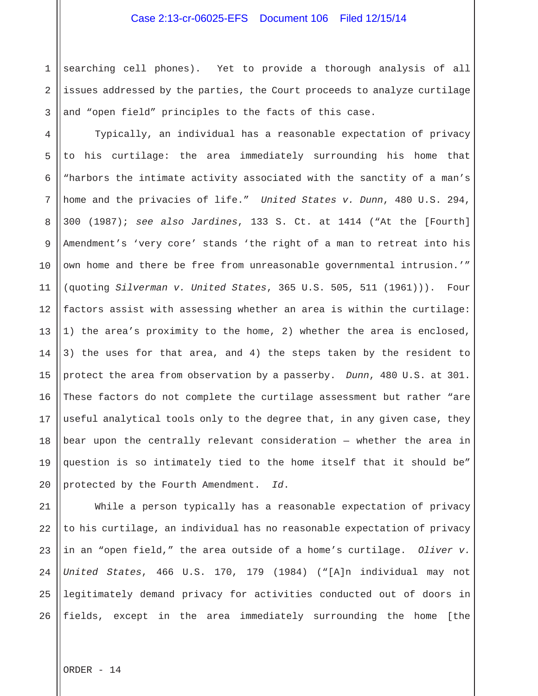1 2 3 searching cell phones). Yet to provide a thorough analysis of all issues addressed by the parties, the Court proceeds to analyze curtilage and "open field" principles to the facts of this case.

4 5 6 7 8 9 10 11 12 13 14 15 16 17 18 19 20 Typically, an individual has a reasonable expectation of privacy to his curtilage: the area immediately surrounding his home that "harbors the intimate activity associated with the sanctity of a man's home and the privacies of life." *United States v. Dunn*, 480 U.S. 294, 300 (1987); *see also Jardines*, 133 S. Ct. at 1414 ("At the [Fourth] Amendment's 'very core' stands 'the right of a man to retreat into his own home and there be free from unreasonable governmental intrusion.'" (quoting *Silverman v. United States*, 365 U.S. 505, 511 (1961))). Four factors assist with assessing whether an area is within the curtilage: 1) the area's proximity to the home, 2) whether the area is enclosed, 3) the uses for that area, and 4) the steps taken by the resident to protect the area from observation by a passerby. *Dunn*, 480 U.S. at 301. These factors do not complete the curtilage assessment but rather "are useful analytical tools only to the degree that, in any given case, they bear upon the centrally relevant consideration — whether the area in question is so intimately tied to the home itself that it should be" protected by the Fourth Amendment. *Id*.

21 22 23 24 25 26 While a person typically has a reasonable expectation of privacy to his curtilage, an individual has no reasonable expectation of privacy in an "open field," the area outside of a home's curtilage. *Oliver v. United States*, 466 U.S. 170, 179 (1984) ("[A]n individual may not legitimately demand privacy for activities conducted out of doors in fields, except in the area immediately surrounding the home [the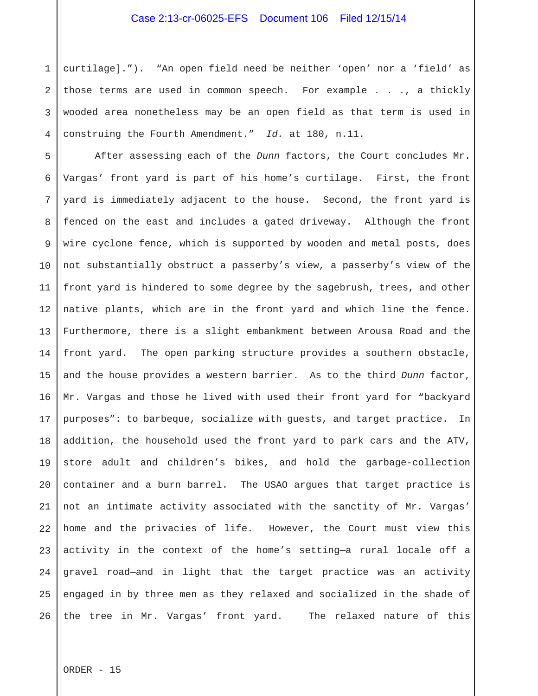1 2 3 4 curtilage]."). "An open field need be neither 'open' nor a 'field' as those terms are used in common speech. For example . . ., a thickly wooded area nonetheless may be an open field as that term is used in construing the Fourth Amendment." *Id.* at 180, n.11.

5 6 7 8 9 10 11 12 13 14 15 16 17 18 19 20 21 22 23 24 25 26 After assessing each of the *Dunn* factors, the Court concludes Mr. Vargas' front yard is part of his home's curtilage. First, the front yard is immediately adjacent to the house. Second, the front yard is fenced on the east and includes a gated driveway. Although the front wire cyclone fence, which is supported by wooden and metal posts, does not substantially obstruct a passerby's view, a passerby's view of the front yard is hindered to some degree by the sagebrush, trees, and other native plants, which are in the front yard and which line the fence. Furthermore, there is a slight embankment between Arousa Road and the front yard. The open parking structure provides a southern obstacle, and the house provides a western barrier. As to the third *Dunn* factor, Mr. Vargas and those he lived with used their front yard for "backyard purposes": to barbeque, socialize with guests, and target practice. In addition, the household used the front yard to park cars and the ATV, store adult and children's bikes, and hold the garbage-collection container and a burn barrel. The USAO argues that target practice is not an intimate activity associated with the sanctity of Mr. Vargas' home and the privacies of life. However, the Court must view this activity in the context of the home's setting—a rural locale off a gravel road—and in light that the target practice was an activity engaged in by three men as they relaxed and socialized in the shade of the tree in Mr. Vargas' front yard. The relaxed nature of this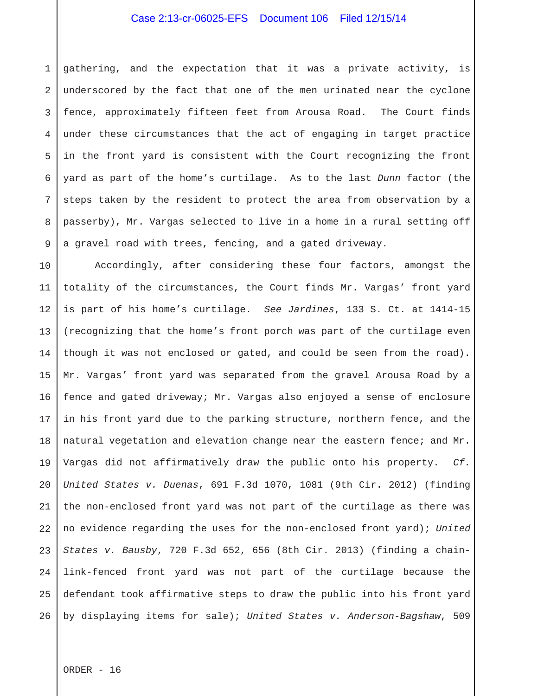1 2 3 4 5 6 7 8 9 gathering, and the expectation that it was a private activity, is underscored by the fact that one of the men urinated near the cyclone fence, approximately fifteen feet from Arousa Road. The Court finds under these circumstances that the act of engaging in target practice in the front yard is consistent with the Court recognizing the front yard as part of the home's curtilage. As to the last *Dunn* factor (the steps taken by the resident to protect the area from observation by a passerby), Mr. Vargas selected to live in a home in a rural setting off a gravel road with trees, fencing, and a gated driveway.

10 11 12 13 14 15 16 17 18 19 20 21 22 23 24 25 26 Accordingly, after considering these four factors, amongst the totality of the circumstances, the Court finds Mr. Vargas' front yard is part of his home's curtilage. *See Jardines*, 133 S. Ct. at 1414-15 (recognizing that the home's front porch was part of the curtilage even though it was not enclosed or gated, and could be seen from the road). Mr. Vargas' front yard was separated from the gravel Arousa Road by a fence and gated driveway; Mr. Vargas also enjoyed a sense of enclosure in his front yard due to the parking structure, northern fence, and the natural vegetation and elevation change near the eastern fence; and Mr. Vargas did not affirmatively draw the public onto his property. *Cf. United States v. Duenas*, 691 F.3d 1070, 1081 (9th Cir. 2012) (finding the non-enclosed front yard was not part of the curtilage as there was no evidence regarding the uses for the non-enclosed front yard); *United States v. Bausby*, 720 F.3d 652, 656 (8th Cir. 2013) (finding a chainlink-fenced front yard was not part of the curtilage because the defendant took affirmative steps to draw the public into his front yard by displaying items for sale); *United States v. Anderson-Bagshaw*, 509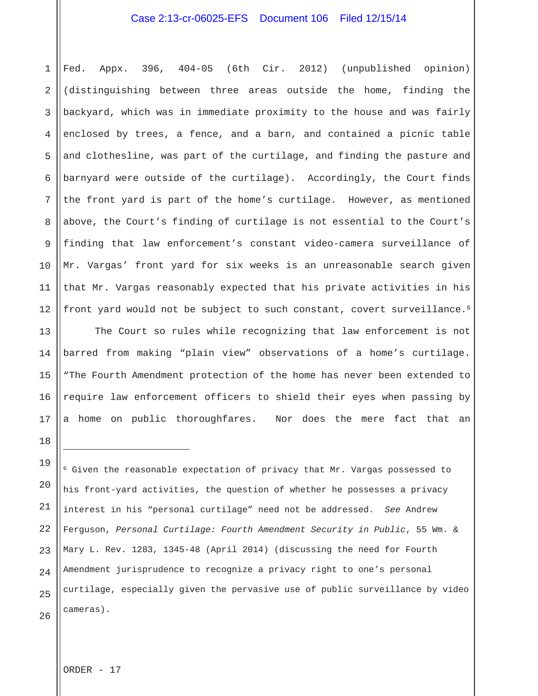1 2 3 4 5 6 7 8 9 10 11 12 Fed. Appx. 396, 404-05 (6th Cir. 2012) (unpublished opinion) (distinguishing between three areas outside the home, finding the backyard, which was in immediate proximity to the house and was fairly enclosed by trees, a fence, and a barn, and contained a picnic table and clothesline, was part of the curtilage, and finding the pasture and barnyard were outside of the curtilage). Accordingly, the Court finds the front yard is part of the home's curtilage. However, as mentioned above, the Court's finding of curtilage is not essential to the Court's finding that law enforcement's constant video-camera surveillance of Mr. Vargas' front yard for six weeks is an unreasonable search given that Mr. Vargas reasonably expected that his private activities in his front yard would not be subject to such constant, covert surveillance.<sup>6</sup>

 The Court so rules while recognizing that law enforcement is not barred from making "plain view" observations of a home's curtilage. "The Fourth Amendment protection of the home has never been extended to require law enforcement officers to shield their eyes when passing by a home on public thoroughfares. Nor does the mere fact that an

19 20 21 22 23 24 25 26  $6$  Given the reasonable expectation of privacy that Mr. Vargas possessed to his front-yard activities, the question of whether he possesses a privacy interest in his "personal curtilage" need not be addressed. *See* Andrew Ferguson, *Personal Curtilage: Fourth Amendment Security in Public*, 55 Wm. & Mary L. Rev. 1283, 1345-48 (April 2014) (discussing the need for Fourth Amendment jurisprudence to recognize a privacy right to one's personal curtilage, especially given the pervasive use of public surveillance by video cameras).

ORDER - 17

13

14

15

16

17

18

i<br>S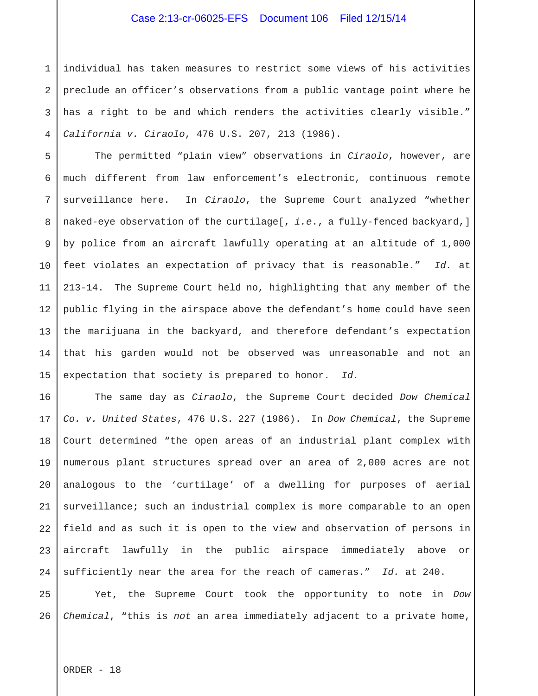1 2 3 4 individual has taken measures to restrict some views of his activities preclude an officer's observations from a public vantage point where he has a right to be and which renders the activities clearly visible." *California v. Ciraolo*, 476 U.S. 207, 213 (1986).

5 6 7 8 9 10 11 12 13 14 15 The permitted "plain view" observations in *Ciraolo*, however, are much different from law enforcement's electronic, continuous remote surveillance here. In *Ciraolo*, the Supreme Court analyzed "whether naked-eye observation of the curtilage[, *i.e*., a fully-fenced backyard,] by police from an aircraft lawfully operating at an altitude of 1,000 feet violates an expectation of privacy that is reasonable." *Id.* at 213-14. The Supreme Court held no, highlighting that any member of the public flying in the airspace above the defendant's home could have seen the marijuana in the backyard, and therefore defendant's expectation that his garden would not be observed was unreasonable and not an expectation that society is prepared to honor. *Id.*

16 17 18 19 20 21 22 23 24 The same day as *Ciraolo*, the Supreme Court decided *Dow Chemical Co. v. United States*, 476 U.S. 227 (1986). In *Dow Chemical*, the Supreme Court determined "the open areas of an industrial plant complex with numerous plant structures spread over an area of 2,000 acres are not analogous to the 'curtilage' of a dwelling for purposes of aerial surveillance; such an industrial complex is more comparable to an open field and as such it is open to the view and observation of persons in aircraft lawfully in the public airspace immediately above or sufficiently near the area for the reach of cameras." *Id.* at 240.

25 26 Yet, the Supreme Court took the opportunity to note in *Dow Chemical*, "this is *not* an area immediately adjacent to a private home,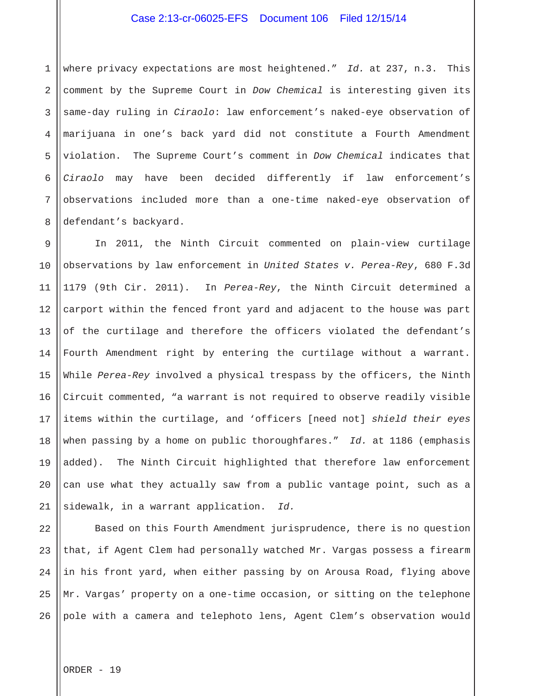1 2 3 4 5 6 7 8 where privacy expectations are most heightened." *Id.* at 237, n.3. This comment by the Supreme Court in *Dow Chemical* is interesting given its same-day ruling in *Ciraolo*: law enforcement's naked-eye observation of marijuana in one's back yard did not constitute a Fourth Amendment violation. The Supreme Court's comment in *Dow Chemical* indicates that *Ciraolo* may have been decided differently if law enforcement's observations included more than a one-time naked-eye observation of defendant's backyard.

9 10 11 12 13 14 15 16 17 18 19 20 21 In 2011, the Ninth Circuit commented on plain-view curtilage observations by law enforcement in *United States v. Perea-Rey*, 680 F.3d 1179 (9th Cir. 2011). In *Perea-Rey*, the Ninth Circuit determined a carport within the fenced front yard and adjacent to the house was part of the curtilage and therefore the officers violated the defendant's Fourth Amendment right by entering the curtilage without a warrant. While *Perea-Rey* involved a physical trespass by the officers, the Ninth Circuit commented, "a warrant is not required to observe readily visible items within the curtilage, and 'officers [need not] *shield their eyes*  when passing by a home on public thoroughfares." *Id.* at 1186 (emphasis added). The Ninth Circuit highlighted that therefore law enforcement can use what they actually saw from a public vantage point, such as a sidewalk, in a warrant application. *Id.*

22 23 24 25 26 Based on this Fourth Amendment jurisprudence, there is no question that, if Agent Clem had personally watched Mr. Vargas possess a firearm in his front yard, when either passing by on Arousa Road, flying above Mr. Vargas' property on a one-time occasion, or sitting on the telephone pole with a camera and telephoto lens, Agent Clem's observation would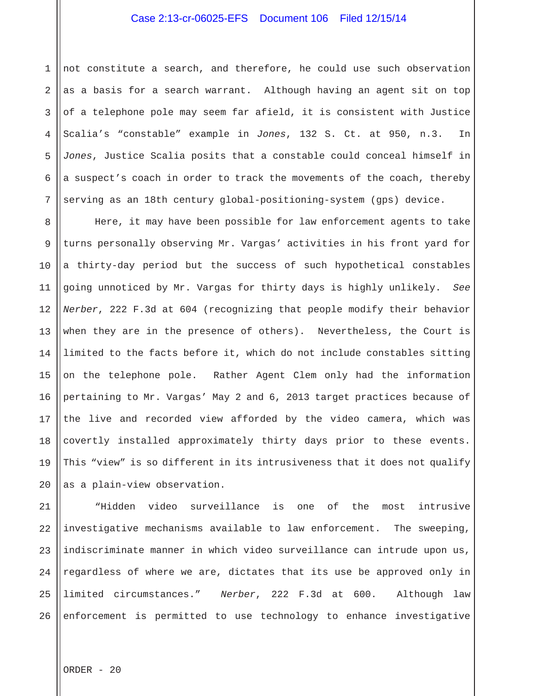1 2 3 4 5 6 7 not constitute a search, and therefore, he could use such observation as a basis for a search warrant. Although having an agent sit on top of a telephone pole may seem far afield, it is consistent with Justice Scalia's "constable" example in *Jones*, 132 S. Ct. at 950, n.3. In *Jones*, Justice Scalia posits that a constable could conceal himself in a suspect's coach in order to track the movements of the coach, thereby serving as an 18th century global-positioning-system (gps) device.

8 9 10 11 12 13 14 15 16 17 18 19 20 Here, it may have been possible for law enforcement agents to take turns personally observing Mr. Vargas' activities in his front yard for a thirty-day period but the success of such hypothetical constables going unnoticed by Mr. Vargas for thirty days is highly unlikely. *See Nerber*, 222 F.3d at 604 (recognizing that people modify their behavior when they are in the presence of others). Nevertheless, the Court is limited to the facts before it, which do not include constables sitting on the telephone pole. Rather Agent Clem only had the information pertaining to Mr. Vargas' May 2 and 6, 2013 target practices because of the live and recorded view afforded by the video camera, which was covertly installed approximately thirty days prior to these events. This "view" is so different in its intrusiveness that it does not qualify as a plain-view observation.

21 22 23 24 25 26 "Hidden video surveillance is one of the most intrusive investigative mechanisms available to law enforcement. The sweeping, indiscriminate manner in which video surveillance can intrude upon us, regardless of where we are, dictates that its use be approved only in limited circumstances." *Nerber*, 222 F.3d at 600. Although law enforcement is permitted to use technology to enhance investigative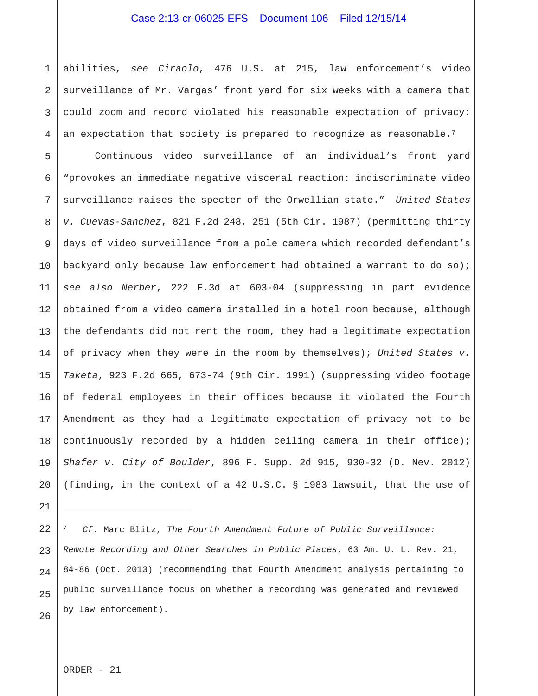1 2 3 4 abilities, *see Ciraolo*, 476 U.S. at 215, law enforcement's video surveillance of Mr. Vargas' front yard for six weeks with a camera that could zoom and record violated his reasonable expectation of privacy: an expectation that society is prepared to recognize as reasonable.<sup>7</sup>

5 6 7 8 9 10 11 12 13 14 15 16 17 18 19 20 Continuous video surveillance of an individual's front yard "provokes an immediate negative visceral reaction: indiscriminate video surveillance raises the specter of the Orwellian state." *United States v. Cuevas-Sanchez*, 821 F.2d 248, 251 (5th Cir. 1987) (permitting thirty days of video surveillance from a pole camera which recorded defendant's backyard only because law enforcement had obtained a warrant to do so); *see also Nerber*, 222 F.3d at 603-04 (suppressing in part evidence obtained from a video camera installed in a hotel room because, although the defendants did not rent the room, they had a legitimate expectation of privacy when they were in the room by themselves); *United States v. Taketa*, 923 F.2d 665, 673-74 (9th Cir. 1991) (suppressing video footage of federal employees in their offices because it violated the Fourth Amendment as they had a legitimate expectation of privacy not to be continuously recorded by a hidden ceiling camera in their office); *Shafer v. City of Boulder*, 896 F. Supp. 2d 915, 930-32 (D. Nev. 2012) (finding, in the context of a 42 U.S.C. § 1983 lawsuit, that the use of

22 23 24 25 26 <sup>7</sup> *Cf.* Marc Blitz, *The Fourth Amendment Future of Public Surveillance: Remote Recording and Other Searches in Public Places*, 63 Am. U. L. Rev. 21, 84-86 (Oct. 2013) (recommending that Fourth Amendment analysis pertaining to public surveillance focus on whether a recording was generated and reviewed by law enforcement).

ORDER - 21

21

i<br>I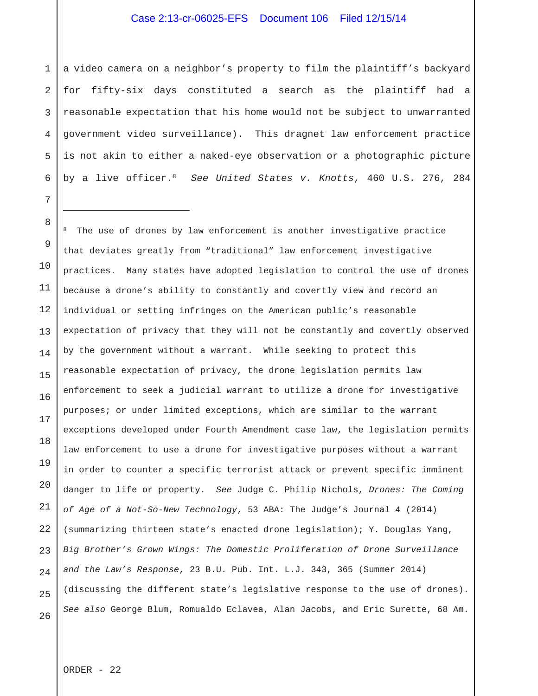1 2 3 4 5 6 a video camera on a neighbor's property to film the plaintiff's backyard for fifty-six days constituted a search as the plaintiff had a reasonable expectation that his home would not be subject to unwarranted government video surveillance). This dragnet law enforcement practice is not akin to either a naked-eye observation or a photographic picture by a live officer.8 *See United States v. Knotts*, 460 U.S. 276, 284

8 9 10 11 12 13 14 15 16 17 18 19 20 21 22 23 24 25 26 The use of drones by law enforcement is another investigative practice that deviates greatly from "traditional" law enforcement investigative practices. Many states have adopted legislation to control the use of drones because a drone's ability to constantly and covertly view and record an individual or setting infringes on the American public's reasonable expectation of privacy that they will not be constantly and covertly observed by the government without a warrant. While seeking to protect this reasonable expectation of privacy, the drone legislation permits law enforcement to seek a judicial warrant to utilize a drone for investigative purposes; or under limited exceptions, which are similar to the warrant exceptions developed under Fourth Amendment case law, the legislation permits law enforcement to use a drone for investigative purposes without a warrant in order to counter a specific terrorist attack or prevent specific imminent danger to life or property. *See* Judge C. Philip Nichols, *Drones: The Coming of Age of a Not-So-New Technology*, 53 ABA: The Judge's Journal 4 (2014) (summarizing thirteen state's enacted drone legislation); Y. Douglas Yang, *Big Brother's Grown Wings: The Domestic Proliferation of Drone Surveillance and the Law's Response*, 23 B.U. Pub. Int. L.J. 343, 365 (Summer 2014) (discussing the different state's legislative response to the use of drones). *See also* George Blum, Romualdo Eclavea, Alan Jacobs, and Eric Surette, 68 Am.

7

i<br>S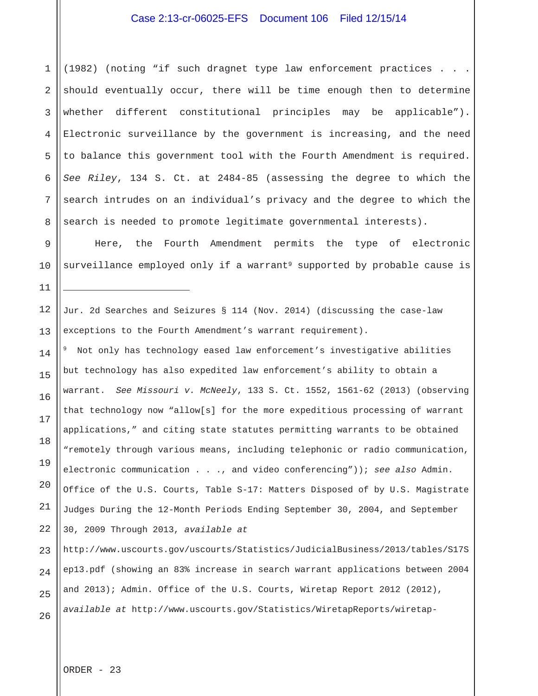1 2 3 4 5 6 7 8 (1982) (noting "if such dragnet type law enforcement practices . . . should eventually occur, there will be time enough then to determine whether different constitutional principles may be applicable"). Electronic surveillance by the government is increasing, and the need to balance this government tool with the Fourth Amendment is required. *See Riley*, 134 S. Ct. at 2484-85 (assessing the degree to which the search intrudes on an individual's privacy and the degree to which the search is needed to promote legitimate governmental interests).

 Here, the Fourth Amendment permits the type of electronic surveillance employed only if a warrant<sup>9</sup> supported by probable cause is

Jur. 2d Searches and Seizures § 114 (Nov. 2014) (discussing the case-law exceptions to the Fourth Amendment's warrant requirement).

9 Not only has technology eased law enforcement's investigative abilities but technology has also expedited law enforcement's ability to obtain a warrant. *See Missouri v. McNeely*, 133 S. Ct. 1552, 1561-62 (2013) (observing that technology now "allow[s] for the more expeditious processing of warrant applications," and citing state statutes permitting warrants to be obtained "remotely through various means, including telephonic or radio communication, electronic communication . . ., and video conferencing")); *see also* Admin. Office of the U.S. Courts, Table S-17: Matters Disposed of by U.S. Magistrate Judges During the 12-Month Periods Ending September 30, 2004, and September 30, 2009 Through 2013, *available at*

23 24 25 26 http://www.uscourts.gov/uscourts/Statistics/JudicialBusiness/2013/tables/S17S ep13.pdf (showing an 83% increase in search warrant applications between 2004 and 2013); Admin. Office of the U.S. Courts, Wiretap Report 2012 (2012), *available at* http://www.uscourts.gov/Statistics/WiretapReports/wiretap-

ORDER - 23

9

10

11

i<br>I

12

13

14

15

16

17

18

19

20

21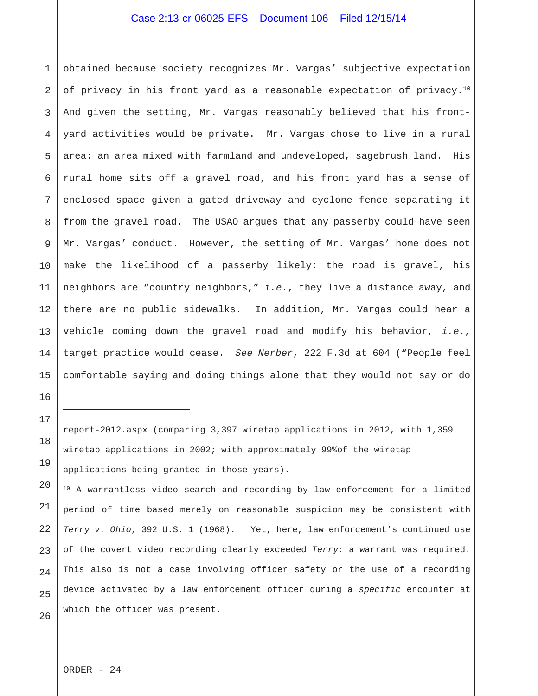1 2 3 4 5 6 7 8 9 10 11 12 13 14 15 obtained because society recognizes Mr. Vargas' subjective expectation of privacy in his front yard as a reasonable expectation of privacy.10 And given the setting, Mr. Vargas reasonably believed that his frontyard activities would be private. Mr. Vargas chose to live in a rural area: an area mixed with farmland and undeveloped, sagebrush land. His rural home sits off a gravel road, and his front yard has a sense of enclosed space given a gated driveway and cyclone fence separating it from the gravel road. The USAO argues that any passerby could have seen Mr. Vargas' conduct. However, the setting of Mr. Vargas' home does not make the likelihood of a passerby likely: the road is gravel, his neighbors are "country neighbors," *i.e*., they live a distance away, and there are no public sidewalks. In addition, Mr. Vargas could hear a vehicle coming down the gravel road and modify his behavior, *i.e*., target practice would cease. *See Nerber*, 222 F.3d at 604 ("People feel comfortable saying and doing things alone that they would not say or do

report-2012.aspx (comparing 3,397 wiretap applications in 2012, with 1,359 wiretap applications in 2002; with approximately 99%of the wiretap applications being granted in those years).

20 21 22 23 24 25 26 <sup>10</sup> A warrantless video search and recording by law enforcement for a limited period of time based merely on reasonable suspicion may be consistent with *Terry v. Ohio*, 392 U.S. 1 (1968). Yet, here, law enforcement's continued use of the covert video recording clearly exceeded *Terry*: a warrant was required. This also is not a case involving officer safety or the use of a recording device activated by a law enforcement officer during a *specific* encounter at which the officer was present.

16

17

i<br>I

18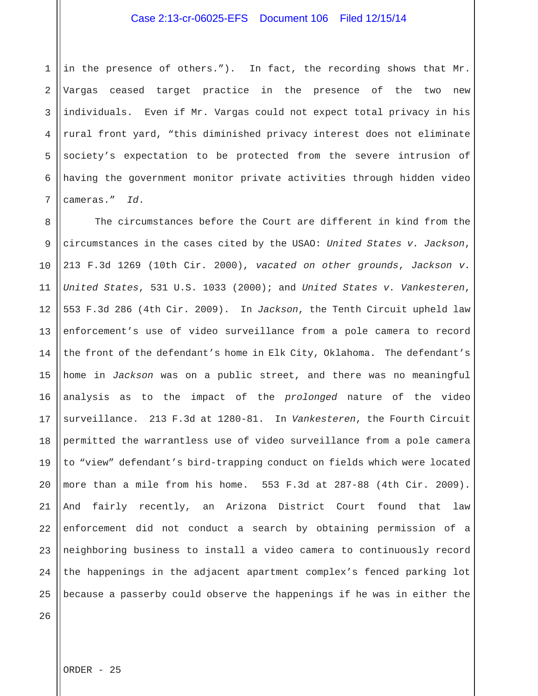1 2 3 4 5 6 7 in the presence of others."). In fact, the recording shows that Mr. Vargas ceased target practice in the presence of the two new individuals. Even if Mr. Vargas could not expect total privacy in his rural front yard, "this diminished privacy interest does not eliminate society's expectation to be protected from the severe intrusion of having the government monitor private activities through hidden video cameras." *Id*.

8 9 10 11 12 13 14 15 16 17 18 19 20 21 22 23 24 25 The circumstances before the Court are different in kind from the circumstances in the cases cited by the USAO: *United States v. Jackson*, 213 F.3d 1269 (10th Cir. 2000), *vacated on other grounds*, *Jackson v. United States*, 531 U.S. 1033 (2000); and *United States v. Vankesteren*, 553 F.3d 286 (4th Cir. 2009). In *Jackson*, the Tenth Circuit upheld law enforcement's use of video surveillance from a pole camera to record the front of the defendant's home in Elk City, Oklahoma. The defendant's home in *Jackson* was on a public street, and there was no meaningful analysis as to the impact of the *prolonged* nature of the video surveillance. 213 F.3d at 1280-81. In *Vankesteren*, the Fourth Circuit permitted the warrantless use of video surveillance from a pole camera to "view" defendant's bird-trapping conduct on fields which were located more than a mile from his home. 553 F.3d at 287-88 (4th Cir. 2009). And fairly recently, an Arizona District Court found that law enforcement did not conduct a search by obtaining permission of a neighboring business to install a video camera to continuously record the happenings in the adjacent apartment complex's fenced parking lot because a passerby could observe the happenings if he was in either the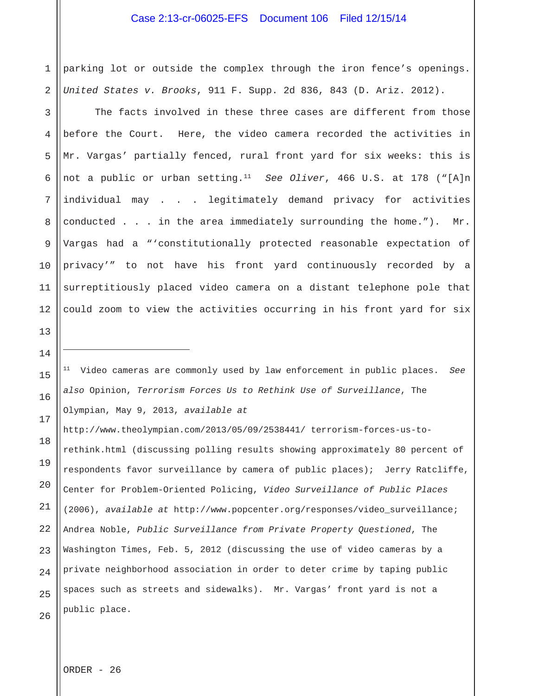1 2 parking lot or outside the complex through the iron fence's openings. *United States v. Brooks*, 911 F. Supp. 2d 836, 843 (D. Ariz. 2012).

3 4 5 6 7 8 9 10 11 12 The facts involved in these three cases are different from those before the Court. Here, the video camera recorded the activities in Mr. Vargas' partially fenced, rural front yard for six weeks: this is not a public or urban setting.11 *See Oliver*, 466 U.S. at 178 ("[A]n individual may . . . legitimately demand privacy for activities conducted . . . in the area immediately surrounding the home."). Mr. Vargas had a "'constitutionally protected reasonable expectation of privacy'" to not have his front yard continuously recorded by a surreptitiously placed video camera on a distant telephone pole that could zoom to view the activities occurring in his front yard for six

11 Video cameras are commonly used by law enforcement in public places. *See also* Opinion, *Terrorism Forces Us to Rethink Use of Surveillance*, The Olympian, May 9, 2013, *available at* 

18 http://www.theolympian.com/2013/05/09/2538441/ terrorism-forces-us-torethink.html (discussing polling results showing approximately 80 percent of respondents favor surveillance by camera of public places); Jerry Ratcliffe, Center for Problem-Oriented Policing, *Video Surveillance of Public Places* (2006), *available at* http://www.popcenter.org/responses/video\_surveillance; Andrea Noble, *Public Surveillance from Private Property Questioned*, The Washington Times, Feb. 5, 2012 (discussing the use of video cameras by a private neighborhood association in order to deter crime by taping public spaces such as streets and sidewalks). Mr. Vargas' front yard is not a public place.

ORDER - 26

13

14

i<br>S

15

16

17

19

20

21

22

23

24

25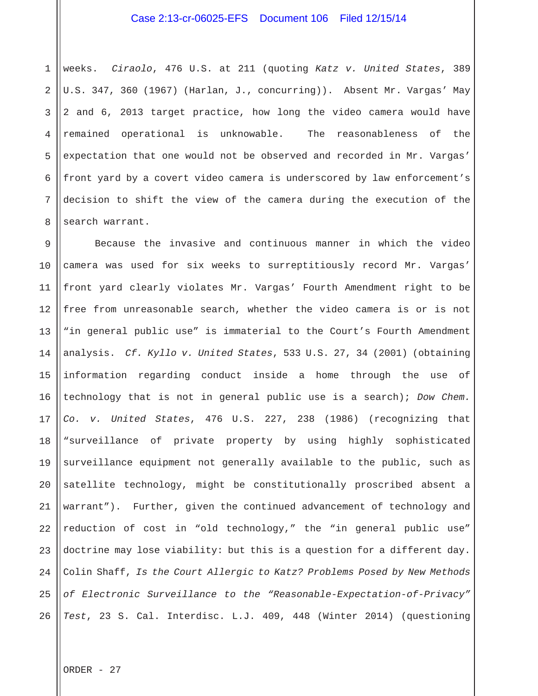1 2 3 4 5 6 7 8 weeks. *Ciraolo*, 476 U.S. at 211 (quoting *Katz v. United States*, 389 U.S. 347, 360 (1967) (Harlan, J., concurring)). Absent Mr. Vargas' May 2 and 6, 2013 target practice, how long the video camera would have remained operational is unknowable. The reasonableness of the expectation that one would not be observed and recorded in Mr. Vargas' front yard by a covert video camera is underscored by law enforcement's decision to shift the view of the camera during the execution of the search warrant.

9 10 11 12 13 14 15 16 17 18 19 20 21 22 23 24 25 26 Because the invasive and continuous manner in which the video camera was used for six weeks to surreptitiously record Mr. Vargas' front yard clearly violates Mr. Vargas' Fourth Amendment right to be free from unreasonable search, whether the video camera is or is not "in general public use" is immaterial to the Court's Fourth Amendment analysis. *Cf. Kyllo v. United States*, 533 U.S. 27, 34 (2001) (obtaining information regarding conduct inside a home through the use of technology that is not in general public use is a search); *Dow Chem. Co. v. United States*, 476 U.S. 227, 238 (1986) (recognizing that "surveillance of private property by using highly sophisticated surveillance equipment not generally available to the public, such as satellite technology, might be constitutionally proscribed absent a warrant"). Further, given the continued advancement of technology and reduction of cost in "old technology," the "in general public use" doctrine may lose viability: but this is a question for a different day. Colin Shaff, *Is the Court Allergic to Katz? Problems Posed by New Methods of Electronic Surveillance to the "Reasonable-Expectation-of-Privacy" Test*, 23 S. Cal. Interdisc. L.J. 409, 448 (Winter 2014) (questioning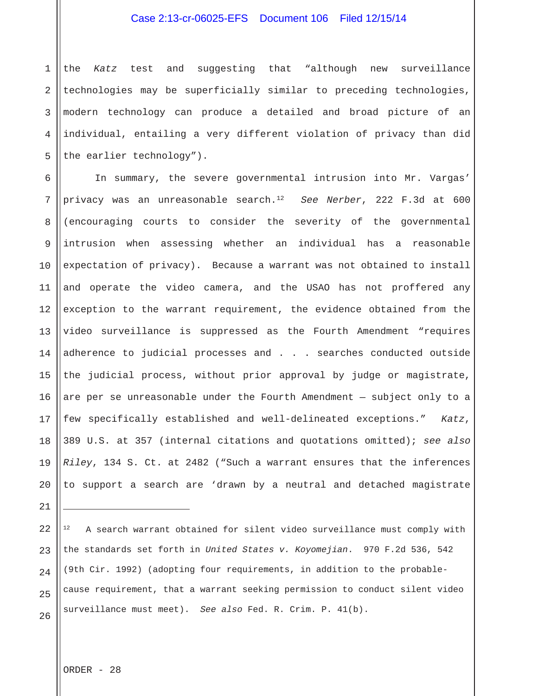1 2 3 4 5 the *Katz* test and suggesting that "although new surveillance technologies may be superficially similar to preceding technologies, modern technology can produce a detailed and broad picture of an individual, entailing a very different violation of privacy than did the earlier technology").

6 7 8 9 10 11 12 13 14 15 16 17 18 19 20 In summary, the severe governmental intrusion into Mr. Vargas' privacy was an unreasonable search.12 *See Nerber*, 222 F.3d at 600 (encouraging courts to consider the severity of the governmental intrusion when assessing whether an individual has a reasonable expectation of privacy). Because a warrant was not obtained to install and operate the video camera, and the USAO has not proffered any exception to the warrant requirement, the evidence obtained from the video surveillance is suppressed as the Fourth Amendment "requires adherence to judicial processes and . . . searches conducted outside the judicial process, without prior approval by judge or magistrate, are per se unreasonable under the Fourth Amendment — subject only to a few specifically established and well-delineated exceptions." *Katz*, 389 U.S. at 357 (internal citations and quotations omitted); *see also Riley*, 134 S. Ct. at 2482 ("Such a warrant ensures that the inferences to support a search are 'drawn by a neutral and detached magistrate

21

i<br>I

22

23

24

25

26

A search warrant obtained for silent video surveillance must comply with the standards set forth in *United States v. Koyomejian*. 970 F.2d 536, 542 (9th Cir. 1992) (adopting four requirements, in addition to the probablecause requirement, that a warrant seeking permission to conduct silent video surveillance must meet). *See also* Fed. R. Crim. P. 41(b).